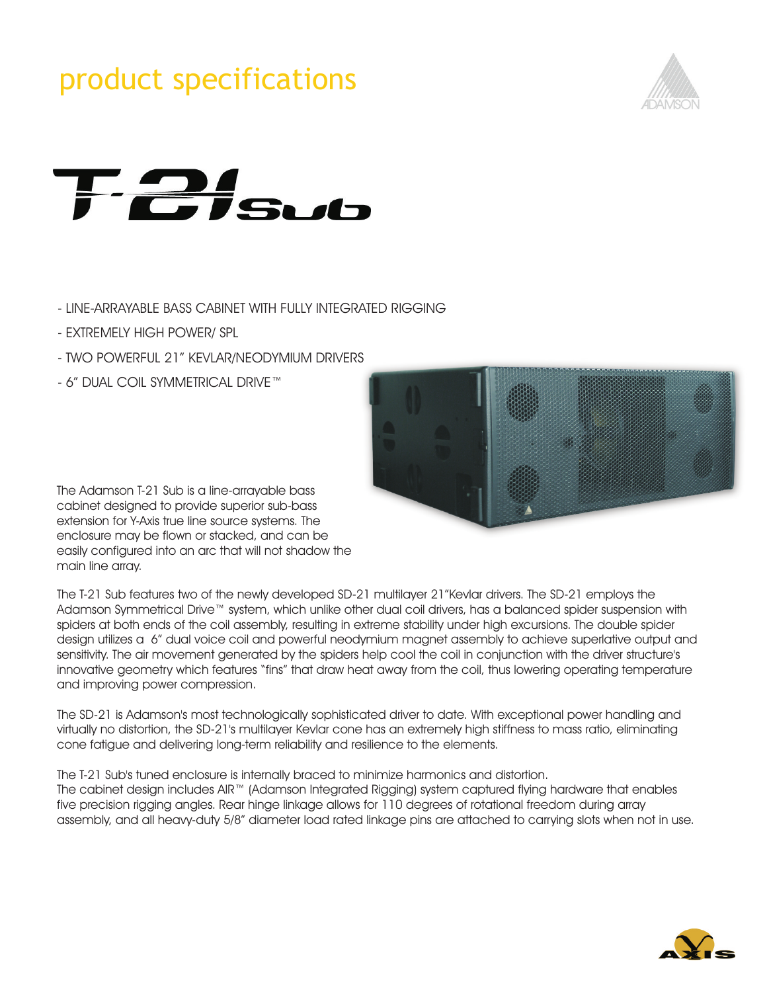### product specifications





- LINE-ARRAYABLE BASS CABINET WITH FULLY INTEGRATED RIGGING
- EXTREMELY HIGH POWER/ SPL
- TWO POWERFUL 21" KEVLAR/NEODYMIUM DRIVERS
- 6" DUAL COIL SYMMETRICAL DRIVE™



The Adamson T-21 Sub is a line-arrayable bass cabinet designed to provide superior sub-bass extension for Y-Axis true line source systems. The enclosure may be flown or stacked, and can be easily configured into an arc that will not shadow the main line array.

spiders at both ends of the coil assembly, resulting in extreme stability under high excursions. The double spider design utilizes a 6" dual voice coil and powerful neodymium magnet assembly to achieve superlative output and sensitivity. The air movement generated by the spiders help cool the coil in conjunction with the driver structure's The T-21 Sub features two of the newly developed SD-21 multilayer 21"Kevlar drivers. The SD-21 employs the Adamson Symmetrical Drive™ system, which unlike other dual coil drivers, has a balanced spider suspension with innovative geometry which features "fins" that draw heat away from the coil, thus lowering operating temperature and improving power compression.

The SD-21 is Adamson's most technologically sophisticated driver to date. With exceptional power handling and virtually no distortion, the SD-21's multilayer Kevlar cone has an extremely high stiffness to mass ratio, eliminating cone fatigue and delivering long-term reliability and resilience to the elements.

The T-21 Sub's tuned enclosure is internally braced to minimize harmonics and distortion. The cabinet design includes AIR™ (Adamson Integrated Rigging) system captured flying hardware that enables five precision rigging angles. Rear hinge linkage allows for 110 degrees of rotational freedom during array assembly, and all heavy-duty 5/8" diameter load rated linkage pins are attached to carrying slots when not in use.

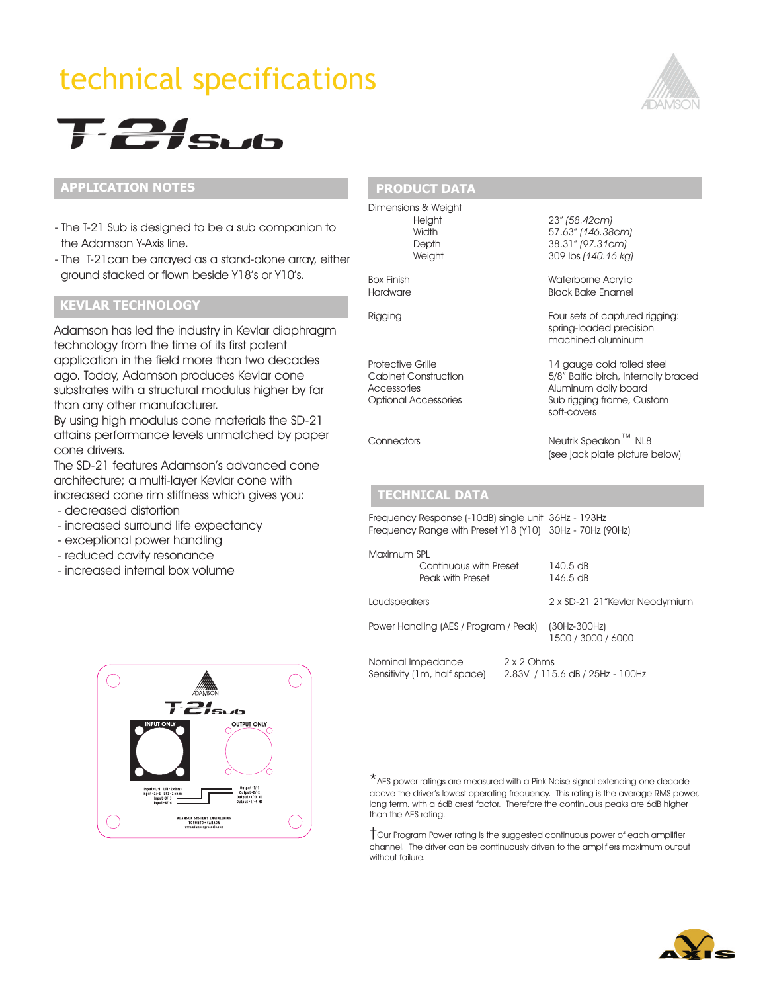## technical specifications





#### **APPLICATION NOTES**

- The T-21 Sub is designed to be a sub companion to the Adamson Y-Axis line.
- The T-21can be arrayed as a stand-alone array, either ground stacked or flown beside Y18's or Y10's.

#### **KEVLAR TECHNOLOGY**

Adamson has led the industry in Kevlar diaphragm technology from the time of its first patent application in the field more than two decades ago. Today, Adamson produces Kevlar cone substrates with a structural modulus higher by far than any other manufacturer.

By using high modulus cone materials the SD-21 attains performance levels unmatched by paper cone drivers.

The SD-21 features Adamson's advanced cone architecture; a multi-layer Kevlar cone with increased cone rim stiffness which gives you:

- decreased distortion
- increased surround life expectancy
- exceptional power handling
- reduced cavity resonance
- increased internal box volume



#### **PRODUCT DATA**

Dimensions & Weight

Height 23" *(58.42cm)* Width 57.63" *(146.38cm)* Depth 38.31" *(97.31cm)* Weight 309 lbs *(140.16 kg)*

Box Finish Waterborne Acrylic **Black Bake Enamel** 

Rigging **Four sets of captured rigging:** spring-loaded precision machined aluminum

Protective Grille<br>
Cabinet Construction<br>
5/8" Baltic birch, internally b 5/8" Baltic birch, internally braced Accessories **Aluminum dolly board** Optional Accessories Sub rigging frame, Custom soft-covers

Connectors Neutrik Speakon™ NL8 (see jack plate picture below)

#### **TECHNICAL DATA**

**TECHNICAL DATA** Frequency Range with Preset Y18 (Y10) 30Hz - 70Hz (90Hz) Frequency Response (-10dB) single unit 36Hz - 193Hz

| Maximum SPL                                |                                                   |                      |                                      |
|--------------------------------------------|---------------------------------------------------|----------------------|--------------------------------------|
| Continuous with Preset<br>Peak with Preset |                                                   | 140.5 dB<br>146.5 dB |                                      |
| Loudspeakers                               |                                                   |                      | 2 x SD-21 21"Kevlar Neodymium        |
| Power Handling (AES / Program / Peak)      |                                                   |                      | $(30Hz-300Hz)$<br>1500 / 3000 / 6000 |
|                                            | Nominal Impedance<br>Sensitivity (1m, half space) | $2 \times 2$ Ohms    | 2.83V / 115.6 dB / 25Hz - 100Hz      |

\*AES power ratings are measured with a Pink Noise signal extending one decade above the driver's lowest operating frequency. This rating is the average RMS power, long term, with a 6dB crest factor. Therefore the continuous peaks are 6dB higher than the AES rating.

†Our Program Power rating is the suggested continuous power of each amplifier channel. The driver can be continuously driven to the amplifiers maximum output without failure.

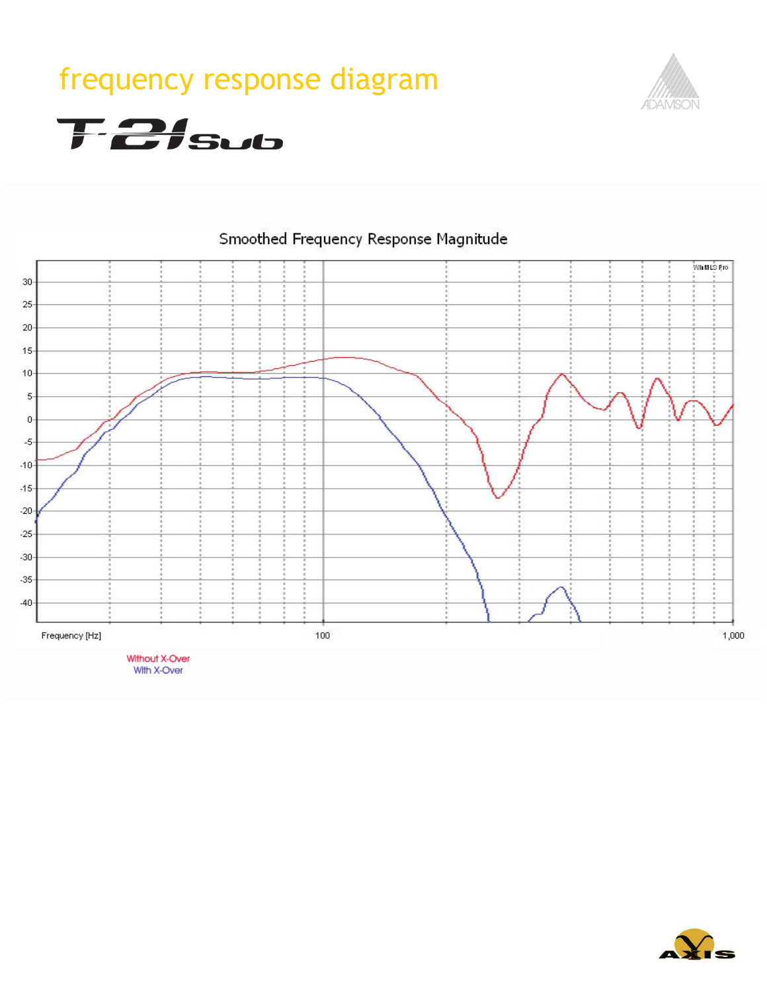# frequency response diagram



**T-21sub** 



### Smoothed Frequency Response Magnitude

With X-Over